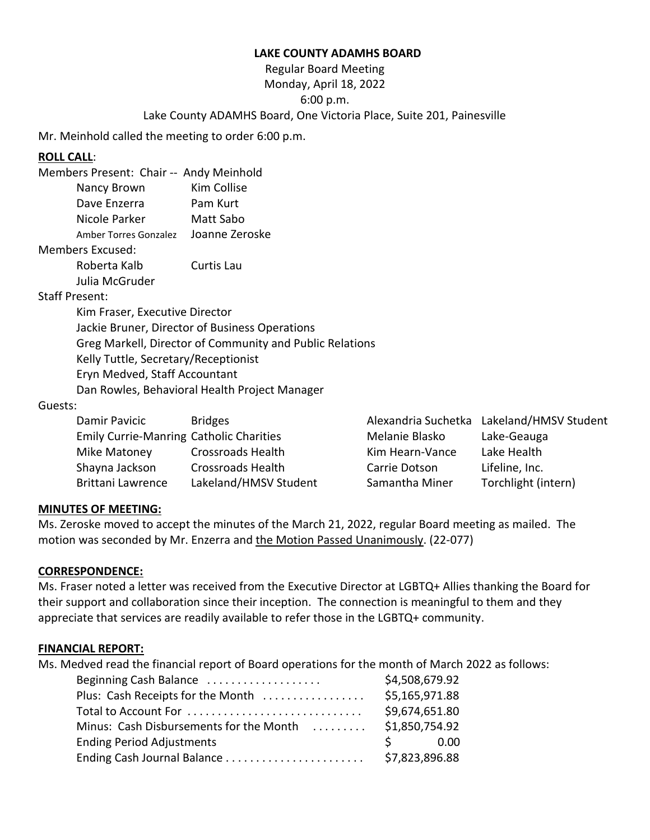### **LAKE COUNTY ADAMHS BOARD**

## Regular Board Meeting Monday, April 18, 2022 6:00 p.m. Lake County ADAMHS Board, One Victoria Place, Suite 201, Painesville

Mr. Meinhold called the meeting to order 6:00 p.m.

### **ROLL CALL**:

| Members Present: Chair -- Andy Meinhold |                |
|-----------------------------------------|----------------|
| Nancy Brown                             | Kim Collise    |
| Dave Enzerra                            | Pam Kurt       |
| Nicole Parker                           | Matt Sabo      |
| Amber Torres Gonzalez                   | Joanne Zeroske |
| <b>Members Excused:</b>                 |                |
| Roberta Kalb                            | Curtis Lau     |

Julia McGruder

### Staff Present:

Kim Fraser, Executive Director Jackie Bruner, Director of Business Operations Greg Markell, Director of Community and Public Relations Kelly Tuttle, Secretary/Receptionist Eryn Medved, Staff Accountant Dan Rowles, Behavioral Health Project Manager

#### Guests:

| Damir Pavicic                                  | <b>Bridges</b>           |                 | Alexandria Suchetka Lakeland/HMSV Student |
|------------------------------------------------|--------------------------|-----------------|-------------------------------------------|
| <b>Emily Currie-Manring Catholic Charities</b> |                          | Melanie Blasko  | Lake-Geauga                               |
| Mike Matoney                                   | <b>Crossroads Health</b> | Kim Hearn-Vance | Lake Health                               |
| Shayna Jackson                                 | <b>Crossroads Health</b> | Carrie Dotson   | Lifeline, Inc.                            |
| <b>Brittani Lawrence</b>                       | Lakeland/HMSV Student    | Samantha Miner  | Torchlight (intern)                       |

#### **MINUTES OF MEETING:**

Ms. Zeroske moved to accept the minutes of the March 21, 2022, regular Board meeting as mailed. The motion was seconded by Mr. Enzerra and the Motion Passed Unanimously. (22-077)

#### **CORRESPONDENCE:**

Ms. Fraser noted a letter was received from the Executive Director at LGBTQ+ Allies thanking the Board for their support and collaboration since their inception. The connection is meaningful to them and they appreciate that services are readily available to refer those in the LGBTQ+ community.

#### **FINANCIAL REPORT:**

Ms. Medved read the financial report of Board operations for the month of March 2022 as follows:

| Beginning Cash Balance                  | \$4,508,679.92 |
|-----------------------------------------|----------------|
| Plus: Cash Receipts for the Month       | \$5,165,971.88 |
| Total to Account For                    | \$9,674,651.80 |
| Minus: Cash Disbursements for the Month | \$1,850,754.92 |
| <b>Ending Period Adjustments</b>        | S 0.00         |
| Ending Cash Journal Balance             | \$7,823,896.88 |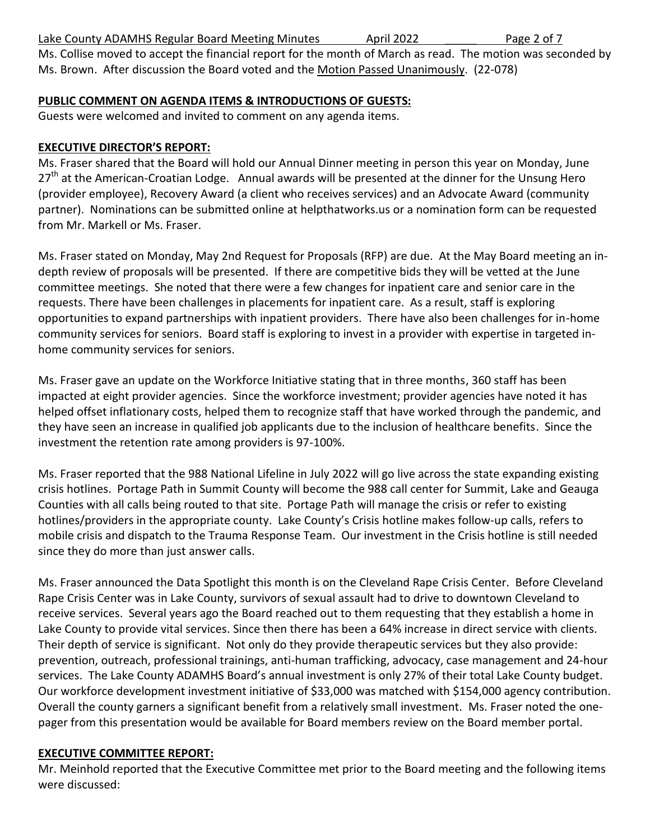Ms. Collise moved to accept the financial report for the month of March as read. The motion was seconded by Ms. Brown. After discussion the Board voted and the Motion Passed Unanimously. (22-078)

# **PUBLIC COMMENT ON AGENDA ITEMS & INTRODUCTIONS OF GUESTS:**

Guests were welcomed and invited to comment on any agenda items.

## **EXECUTIVE DIRECTOR'S REPORT:**

Ms. Fraser shared that the Board will hold our Annual Dinner meeting in person this year on Monday, June 27<sup>th</sup> at the American-Croatian Lodge. Annual awards will be presented at the dinner for the Unsung Hero (provider employee), Recovery Award (a client who receives services) and an Advocate Award (community partner). Nominations can be submitted online at helpthatworks.us or a nomination form can be requested from Mr. Markell or Ms. Fraser.

Ms. Fraser stated on Monday, May 2nd Request for Proposals (RFP) are due. At the May Board meeting an indepth review of proposals will be presented. If there are competitive bids they will be vetted at the June committee meetings. She noted that there were a few changes for inpatient care and senior care in the requests. There have been challenges in placements for inpatient care. As a result, staff is exploring opportunities to expand partnerships with inpatient providers. There have also been challenges for in-home community services for seniors. Board staff is exploring to invest in a provider with expertise in targeted inhome community services for seniors.

Ms. Fraser gave an update on the Workforce Initiative stating that in three months, 360 staff has been impacted at eight provider agencies. Since the workforce investment; provider agencies have noted it has helped offset inflationary costs, helped them to recognize staff that have worked through the pandemic, and they have seen an increase in qualified job applicants due to the inclusion of healthcare benefits. Since the investment the retention rate among providers is 97-100%.

Ms. Fraser reported that the 988 National Lifeline in July 2022 will go live across the state expanding existing crisis hotlines. Portage Path in Summit County will become the 988 call center for Summit, Lake and Geauga Counties with all calls being routed to that site. Portage Path will manage the crisis or refer to existing hotlines/providers in the appropriate county. Lake County's Crisis hotline makes follow-up calls, refers to mobile crisis and dispatch to the Trauma Response Team. Our investment in the Crisis hotline is still needed since they do more than just answer calls.

Ms. Fraser announced the Data Spotlight this month is on the Cleveland Rape Crisis Center. Before Cleveland Rape Crisis Center was in Lake County, survivors of sexual assault had to drive to downtown Cleveland to receive services. Several years ago the Board reached out to them requesting that they establish a home in Lake County to provide vital services. Since then there has been a 64% increase in direct service with clients. Their depth of service is significant. Not only do they provide therapeutic services but they also provide: prevention, outreach, professional trainings, anti-human trafficking, advocacy, case management and 24-hour services. The Lake County ADAMHS Board's annual investment is only 27% of their total Lake County budget. Our workforce development investment initiative of \$33,000 was matched with \$154,000 agency contribution. Overall the county garners a significant benefit from a relatively small investment. Ms. Fraser noted the onepager from this presentation would be available for Board members review on the Board member portal.

## **EXECUTIVE COMMITTEE REPORT:**

Mr. Meinhold reported that the Executive Committee met prior to the Board meeting and the following items were discussed: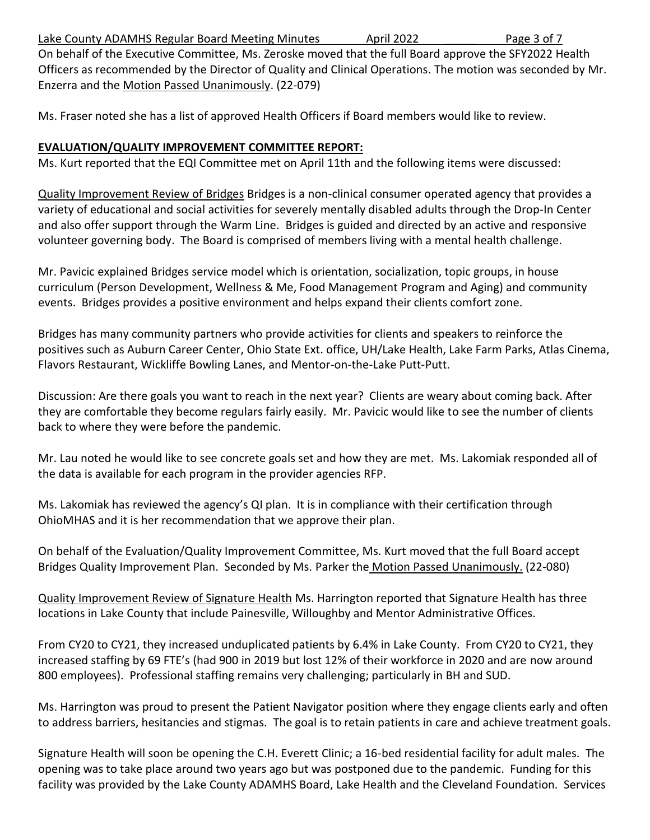Lake County ADAMHS Regular Board Meeting Minutes **April 2022** Page 3 of 7

On behalf of the Executive Committee, Ms. Zeroske moved that the full Board approve the SFY2022 Health Officers as recommended by the Director of Quality and Clinical Operations. The motion was seconded by Mr. Enzerra and the Motion Passed Unanimously. (22-079)

Ms. Fraser noted she has a list of approved Health Officers if Board members would like to review.

## **EVALUATION/QUALITY IMPROVEMENT COMMITTEE REPORT:**

Ms. Kurt reported that the EQI Committee met on April 11th and the following items were discussed:

Quality Improvement Review of Bridges Bridges is a non-clinical consumer operated agency that provides a variety of educational and social activities for severely mentally disabled adults through the Drop-In Center and also offer support through the Warm Line. Bridges is guided and directed by an active and responsive volunteer governing body. The Board is comprised of members living with a mental health challenge.

Mr. Pavicic explained Bridges service model which is orientation, socialization, topic groups, in house curriculum (Person Development, Wellness & Me, Food Management Program and Aging) and community events. Bridges provides a positive environment and helps expand their clients comfort zone.

Bridges has many community partners who provide activities for clients and speakers to reinforce the positives such as Auburn Career Center, Ohio State Ext. office, UH/Lake Health, Lake Farm Parks, Atlas Cinema, Flavors Restaurant, Wickliffe Bowling Lanes, and Mentor-on-the-Lake Putt-Putt.

Discussion: Are there goals you want to reach in the next year? Clients are weary about coming back. After they are comfortable they become regulars fairly easily. Mr. Pavicic would like to see the number of clients back to where they were before the pandemic.

Mr. Lau noted he would like to see concrete goals set and how they are met. Ms. Lakomiak responded all of the data is available for each program in the provider agencies RFP.

Ms. Lakomiak has reviewed the agency's QI plan. It is in compliance with their certification through OhioMHAS and it is her recommendation that we approve their plan.

On behalf of the Evaluation/Quality Improvement Committee, Ms. Kurt moved that the full Board accept Bridges Quality Improvement Plan. Seconded by Ms. Parker the Motion Passed Unanimously. (22-080)

Quality Improvement Review of Signature Health Ms. Harrington reported that Signature Health has three locations in Lake County that include Painesville, Willoughby and Mentor Administrative Offices.

From CY20 to CY21, they increased unduplicated patients by 6.4% in Lake County. From CY20 to CY21, they increased staffing by 69 FTE's (had 900 in 2019 but lost 12% of their workforce in 2020 and are now around 800 employees). Professional staffing remains very challenging; particularly in BH and SUD.

Ms. Harrington was proud to present the Patient Navigator position where they engage clients early and often to address barriers, hesitancies and stigmas. The goal is to retain patients in care and achieve treatment goals.

Signature Health will soon be opening the C.H. Everett Clinic; a 16-bed residential facility for adult males. The opening was to take place around two years ago but was postponed due to the pandemic. Funding for this facility was provided by the Lake County ADAMHS Board, Lake Health and the Cleveland Foundation. Services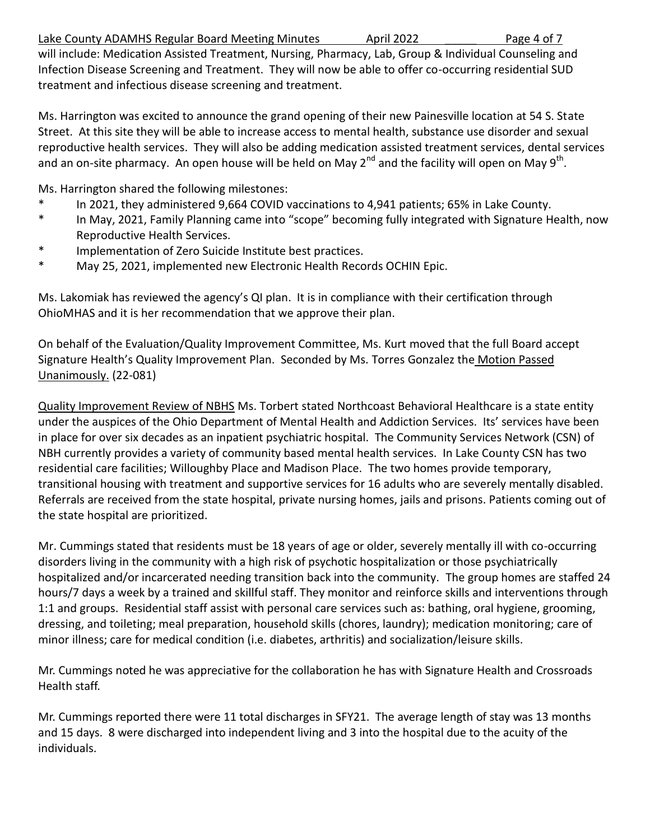Lake County ADAMHS Regular Board Meeting Minutes **April 2022** Page 4 of 7

treatment and infectious disease screening and treatment.

will include: Medication Assisted Treatment, Nursing, Pharmacy, Lab, Group & Individual Counseling and Infection Disease Screening and Treatment. They will now be able to offer co-occurring residential SUD

Ms. Harrington was excited to announce the grand opening of their new Painesville location at 54 S. State Street. At this site they will be able to increase access to mental health, substance use disorder and sexual reproductive health services. They will also be adding medication assisted treatment services, dental services and an on-site pharmacy. An open house will be held on May 2<sup>nd</sup> and the facility will open on May 9<sup>th</sup>.

Ms. Harrington shared the following milestones:

- \* In 2021, they administered 9,664 COVID vaccinations to 4,941 patients; 65% in Lake County.
- \* In May, 2021, Family Planning came into "scope" becoming fully integrated with Signature Health, now Reproductive Health Services.
- Implementation of Zero Suicide Institute best practices.
- \* May 25, 2021, implemented new Electronic Health Records OCHIN Epic.

Ms. Lakomiak has reviewed the agency's QI plan. It is in compliance with their certification through OhioMHAS and it is her recommendation that we approve their plan.

On behalf of the Evaluation/Quality Improvement Committee, Ms. Kurt moved that the full Board accept Signature Health's Quality Improvement Plan. Seconded by Ms. Torres Gonzalez the Motion Passed Unanimously. (22-081)

Quality Improvement Review of NBHS Ms. Torbert stated Northcoast Behavioral Healthcare is a state entity under the auspices of the Ohio Department of Mental Health and Addiction Services. Its' services have been in place for over six decades as an inpatient psychiatric hospital. The Community Services Network (CSN) of NBH currently provides a variety of community based mental health services. In Lake County CSN has two residential care facilities; Willoughby Place and Madison Place. The two homes provide temporary, transitional housing with treatment and supportive services for 16 adults who are severely mentally disabled. Referrals are received from the state hospital, private nursing homes, jails and prisons. Patients coming out of the state hospital are prioritized.

Mr. Cummings stated that residents must be 18 years of age or older, severely mentally ill with co-occurring disorders living in the community with a high risk of psychotic hospitalization or those psychiatrically hospitalized and/or incarcerated needing transition back into the community. The group homes are staffed 24 hours/7 days a week by a trained and skillful staff. They monitor and reinforce skills and interventions through 1:1 and groups. Residential staff assist with personal care services such as: bathing, oral hygiene, grooming, dressing, and toileting; meal preparation, household skills (chores, laundry); medication monitoring; care of minor illness; care for medical condition (i.e. diabetes, arthritis) and socialization/leisure skills.

Mr. Cummings noted he was appreciative for the collaboration he has with Signature Health and Crossroads Health staff.

Mr. Cummings reported there were 11 total discharges in SFY21. The average length of stay was 13 months and 15 days. 8 were discharged into independent living and 3 into the hospital due to the acuity of the individuals.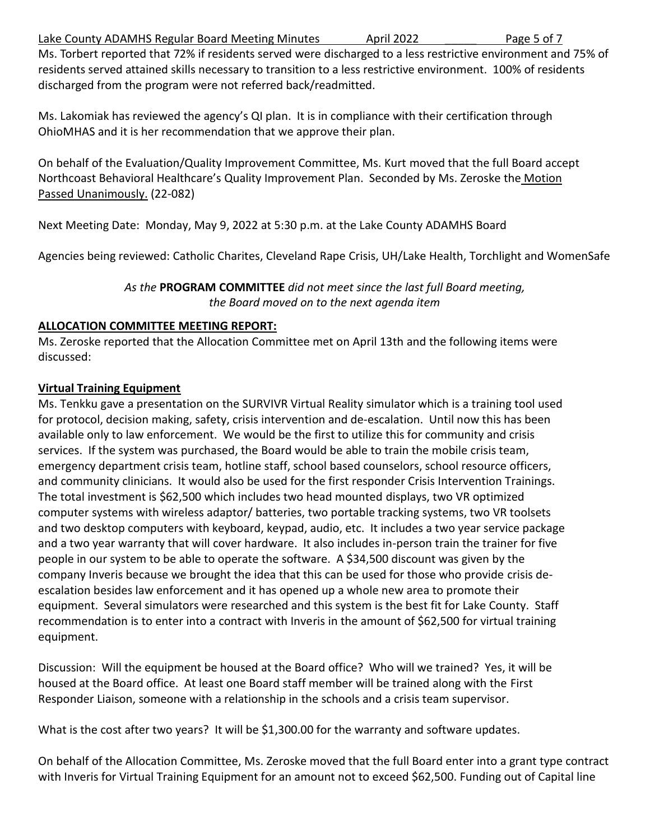Lake County ADAMHS Regular Board Meeting Minutes \_\_\_\_\_\_ April 2022 \_\_\_\_ Page 5 of 7

Ms. Torbert reported that 72% if residents served were discharged to a less restrictive environment and 75% of residents served attained skills necessary to transition to a less restrictive environment. 100% of residents discharged from the program were not referred back/readmitted.

Ms. Lakomiak has reviewed the agency's QI plan. It is in compliance with their certification through OhioMHAS and it is her recommendation that we approve their plan.

On behalf of the Evaluation/Quality Improvement Committee, Ms. Kurt moved that the full Board accept Northcoast Behavioral Healthcare's Quality Improvement Plan. Seconded by Ms. Zeroske the Motion Passed Unanimously. (22-082)

Next Meeting Date: Monday, May 9, 2022 at 5:30 p.m. at the Lake County ADAMHS Board

Agencies being reviewed: Catholic Charites, Cleveland Rape Crisis, UH/Lake Health, Torchlight and WomenSafe

*As the* **PROGRAM COMMITTEE** *did not meet since the last full Board meeting, the Board moved on to the next agenda item*

## **ALLOCATION COMMITTEE MEETING REPORT:**

Ms. Zeroske reported that the Allocation Committee met on April 13th and the following items were discussed:

# **Virtual Training Equipment**

Ms. Tenkku gave a presentation on the SURVIVR Virtual Reality simulator which is a training tool used for protocol, decision making, safety, crisis intervention and de-escalation. Until now this has been available only to law enforcement. We would be the first to utilize this for community and crisis services. If the system was purchased, the Board would be able to train the mobile crisis team, emergency department crisis team, hotline staff, school based counselors, school resource officers, and community clinicians. It would also be used for the first responder Crisis Intervention Trainings. The total investment is \$62,500 which includes two head mounted displays, two VR optimized computer systems with wireless adaptor/ batteries, two portable tracking systems, two VR toolsets and two desktop computers with keyboard, keypad, audio, etc. It includes a two year service package and a two year warranty that will cover hardware. It also includes in-person train the trainer for five people in our system to be able to operate the software. A \$34,500 discount was given by the company Inveris because we brought the idea that this can be used for those who provide crisis deescalation besides law enforcement and it has opened up a whole new area to promote their equipment. Several simulators were researched and this system is the best fit for Lake County. Staff recommendation is to enter into a contract with Inveris in the amount of \$62,500 for virtual training equipment.

Discussion: Will the equipment be housed at the Board office? Who will we trained? Yes, it will be housed at the Board office. At least one Board staff member will be trained along with the First Responder Liaison, someone with a relationship in the schools and a crisis team supervisor.

What is the cost after two years? It will be \$1,300.00 for the warranty and software updates.

On behalf of the Allocation Committee, Ms. Zeroske moved that the full Board enter into a grant type contract with Inveris for Virtual Training Equipment for an amount not to exceed \$62,500. Funding out of Capital line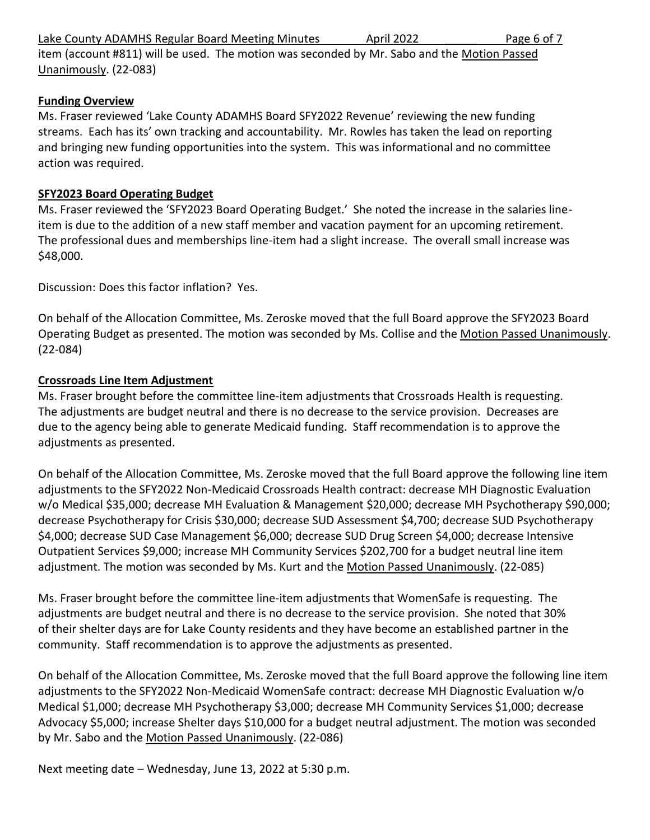| Page 6 of 7<br>Lake County ADAMHS Regular Board Meeting Minutes<br>April 2022 |
|-------------------------------------------------------------------------------|
|-------------------------------------------------------------------------------|

item (account #811) will be used. The motion was seconded by Mr. Sabo and the Motion Passed Unanimously. (22-083)

## **Funding Overview**

Ms. Fraser reviewed 'Lake County ADAMHS Board SFY2022 Revenue' reviewing the new funding streams. Each has its' own tracking and accountability. Mr. Rowles has taken the lead on reporting and bringing new funding opportunities into the system. This was informational and no committee action was required.

## **SFY2023 Board Operating Budget**

Ms. Fraser reviewed the 'SFY2023 Board Operating Budget.' She noted the increase in the salaries lineitem is due to the addition of a new staff member and vacation payment for an upcoming retirement. The professional dues and memberships line-item had a slight increase. The overall small increase was \$48,000.

Discussion: Does this factor inflation? Yes.

On behalf of the Allocation Committee, Ms. Zeroske moved that the full Board approve the SFY2023 Board Operating Budget as presented. The motion was seconded by Ms. Collise and the Motion Passed Unanimously. (22-084)

## **Crossroads Line Item Adjustment**

Ms. Fraser brought before the committee line-item adjustments that Crossroads Health is requesting. The adjustments are budget neutral and there is no decrease to the service provision. Decreases are due to the agency being able to generate Medicaid funding. Staff recommendation is to approve the adjustments as presented.

On behalf of the Allocation Committee, Ms. Zeroske moved that the full Board approve the following line item adjustments to the SFY2022 Non-Medicaid Crossroads Health contract: decrease MH Diagnostic Evaluation w/o Medical \$35,000; decrease MH Evaluation & Management \$20,000; decrease MH Psychotherapy \$90,000; decrease Psychotherapy for Crisis \$30,000; decrease SUD Assessment \$4,700; decrease SUD Psychotherapy \$4,000; decrease SUD Case Management \$6,000; decrease SUD Drug Screen \$4,000; decrease Intensive Outpatient Services \$9,000; increase MH Community Services \$202,700 for a budget neutral line item adjustment. The motion was seconded by Ms. Kurt and the Motion Passed Unanimously. (22-085)

Ms. Fraser brought before the committee line-item adjustments that WomenSafe is requesting. The adjustments are budget neutral and there is no decrease to the service provision. She noted that 30% of their shelter days are for Lake County residents and they have become an established partner in the community. Staff recommendation is to approve the adjustments as presented.

On behalf of the Allocation Committee, Ms. Zeroske moved that the full Board approve the following line item adjustments to the SFY2022 Non-Medicaid WomenSafe contract: decrease MH Diagnostic Evaluation w/o Medical \$1,000; decrease MH Psychotherapy \$3,000; decrease MH Community Services \$1,000; decrease Advocacy \$5,000; increase Shelter days \$10,000 for a budget neutral adjustment. The motion was seconded by Mr. Sabo and the Motion Passed Unanimously. (22-086)

Next meeting date – Wednesday, June 13, 2022 at 5:30 p.m.